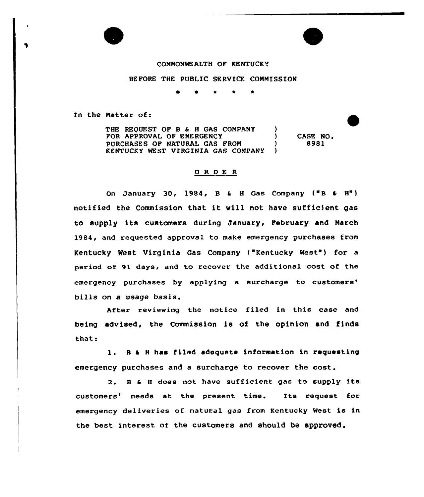### COMMONWEALTH OF KENTUCKY

## BEFORE THE PUBLIC SERVICE COMMISSION

In the Matter of:

THE REQUEST OF B & H GAS COMPANY )<br>FOR APPROVAL OF EMERGENCY FOR APPROVAL DF EMERGENCY PURCHASES OF NATURAL GAS FROM  $)$ KENTUCKY WEST VIRGINIA GAS COMPANY ) CASE NO, 8981

#### 0 R <sup>D</sup> E R

On January 30, 1984,  $B \in H$  Gas Company ("B  $\epsilon$  H") notified the Commission that it will not have sufficient gas to supply its customers during January, February and March 1984, and requested approval to make emergency purchases from Kentucky West Virginia Gas Company ("Kentucky West') for <sup>a</sup> period of 91 days, and to recover the additional cost of the emergency purchases by applying a surcharge to customers' bills on a usage basis.

After reviewing the notice filed in this case and being advised, the Commission is of the opinion and finds that.

1. B & H has filed adequate information in requesting emergency purchases and a surcharge to recover the cost.

2. <sup>B</sup> & <sup>H</sup> does not have sufficient gas to supply its customers' needs at the present time. Its request for emergency deliveries of natural gas from Kentucky West is in the best interest of the customers and should be approved.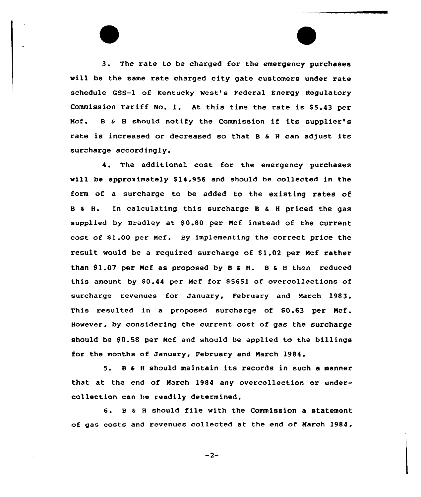3. The rate to be charged for the emergency purchases vill be the same rate charged city gate customers under rate schedule GSS-1 of Kentucky West's Federal Energy Regulatory Commission Tariff No. l. At this time the rate is S5.43 per Ncf. <sup>B</sup> & <sup>8</sup> should notify the Commission if its supplier's rate is increased or decreased so that B & H can adjust its surcharge accordingly.

4. The additional cost for the emergency purchases vill be approximately S14,956 and should be collected in the form of a surcharge to be added to the existing rates of <sup>B</sup> & H. In calculating this surcharge <sup>B</sup> & <sup>H</sup> priced the gas supplied by Bradley at \$0.80 per Mcf instead of the current cost of S1.00 per Ncf. By implementing the correct price the result vould be a required surcharge of S1.02 per Ncf rather than \$1.07 per Mcf as proposed by B & R. B & H then reduced this amount by  $$0.44$  per Mcf for  $$5651$  of overcollections of surcharge revenues fox January, February and March 1983. This resulted in a proposed surcharge of \$0.63 per Mcf. However, by considering the current cost of gas the surcharge should be S0.58 per Ncf and should be applied to the billings for the months of January, February and Narch 1984.

5. <sup>B</sup> & <sup>8</sup> should maintain its records in such <sup>a</sup> manner that at the end of March 1984 any overcollection or undercollection can be readily determined.

<sup>6</sup> <sup>~</sup> <sup>B</sup> & <sup>8</sup> should file with the Commission <sup>a</sup> statement of gas costs and revenues collected at the end of Narch 1984,

 $-2-$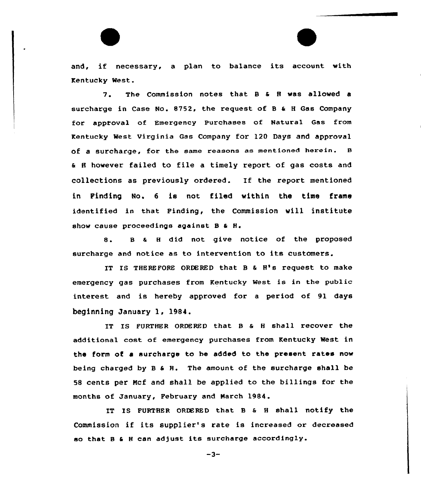and, if necessary, <sup>a</sup> plan to balance its account with Kentucky Nest.

7. The Commission notes that <sup>B</sup> & <sup>8</sup> vas alloved <sup>a</sup> surcharge in Case No. 8752, the request of <sup>B</sup> & <sup>H</sup> Gas Company for apptoval of Emergency Purchases of Natural Gas from Kentucky Nest virginia Gas Company for 120 Days and approval of a surcharge, for the same reasons as mentioned herein. <sup>B</sup> & 8 however failed to file <sup>a</sup> timely report of gas costs and collections as previously ordered. If the report mentioned in Finding No. <sup>6</sup> is not filed within the time frame identified in that Finding, the Commission will institute show cause proceedings against B & H.

8. B & H did not give notice of the proposed surcharge and notice as to intervention to its customers.

IT IS THEREFORE ORDERED that <sup>B</sup> & 8's request to make emergency gas purchases from Kentucky West is in the public interest and is hereby approved for a period of 91 days beginning January 1, 1984.

IT IS FURTHER ORDERED that B & H shall recover the additional cost of emergency purchases from Kentucky Nest in the form of <sup>a</sup> surcharge to he added to the present rates nov being charged by <sup>B</sup> & H. The amount of the surcharge shall be 58 cents per Ncf and shall be applied to the billings for the months of January, February and March 1984.

IT IS FURTHER ORDERED that B & H shall notify the Commission if its supplier's rate is increased or decreased so that <sup>B</sup> & <sup>H</sup> can adjust its surcharge accordingly.

 $-3-$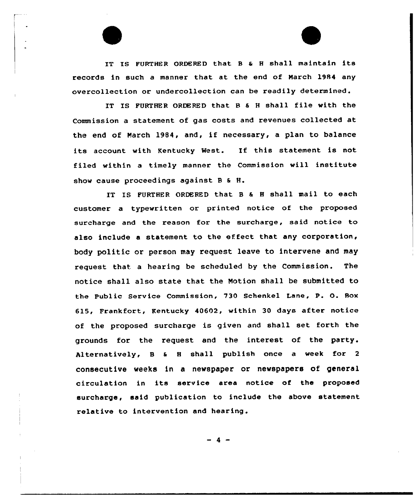IT IS FURTHER ORDERED that 8 <sup>a</sup> <sup>H</sup> shall maintain its records in such a manner that at the end of March 1984 any avercollection or undercollection can be readily determined.

IT IS FURTHER ORDERED that 8 <sup>5</sup> <sup>H</sup> shall file with the Commission a statement of gas costs and revenues collected at the end of March 1984, and, if necessary, <sup>a</sup> plan to balance its account with Kentucky West. If this statement is not filed within a timely manner the Commission will institute show cause proceedings against 8 a H.

IT IS FURTHER ORDERED that B & H shall mail to each customer a typewritten or printed notice of the proposed surcharge and the reason for the surcharge, said notice to also include a statement to the effeet that any corporation, body politic or person may request leave to intervene and may request that. a hearing be scheduled by the Commission. The notice shall also state that the Notion shall be submitted to the Public Service Commission, 730 Schenkel Lane, P. O. Box 615, Frankfort, Kentucky 40602, within 30 days after notice of the proposed surcharge is given and shall set forth the grounds for the request and the interest of the party. Alternatively, B & H shall publish once a week for 2 consecutive weeks in a newspaper or newspapers of general circulation in its service area notice of the proposed surcharge, said publication to include the above statement relative to intervention and hearing.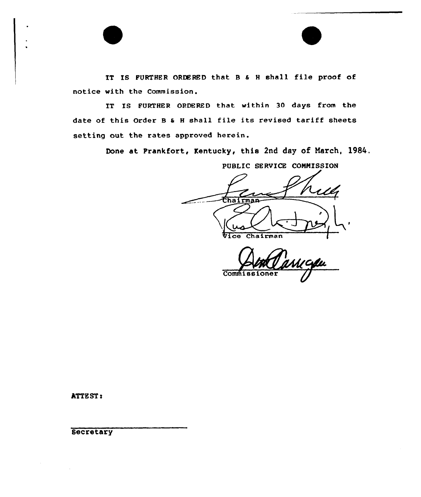IT IS FURTHER ORDERED that 8 & <sup>H</sup> shall file proof of notice with the Commission.

IT IS FURTHER ORDERED that within 30 days from the date of this Order 8 <sup>a</sup> <sup>H</sup> shall file its revised tariff sheets setting out the rates approved herein.

Done at Frankfort, Kentucky, this 2nd day of Narch, 1984.

PUBLIC SERVICE COMMISSION fha Vice Chairman

Commiss

ATTEST:

**Secretary**